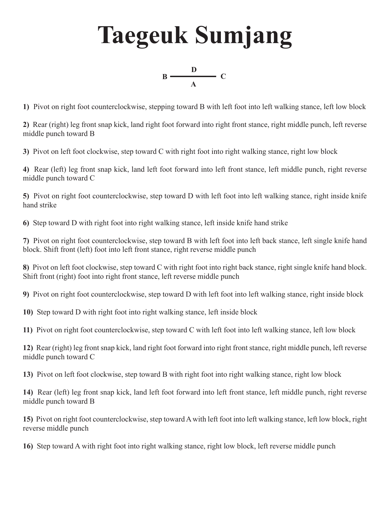## **Taegeuk Sumjang**



**1)** Pivot on right foot counterclockwise, stepping toward B with left foot into left walking stance, left low block

**2)** Rear (right) leg front snap kick, land right foot forward into right front stance, right middle punch, left reverse middle punch toward B

**3)** Pivot on left foot clockwise, step toward C with right foot into right walking stance, right low block

**4)** Rear (left) leg front snap kick, land left foot forward into left front stance, left middle punch, right reverse middle punch toward C

**5)** Pivot on right foot counterclockwise, step toward D with left foot into left walking stance, right inside knife hand strike

**6)** Step toward D with right foot into right walking stance, left inside knife hand strike

**7)** Pivot on right foot counterclockwise, step toward B with left foot into left back stance, left single knife hand block. Shift front (left) foot into left front stance, right reverse middle punch

**8)** Pivot on left foot clockwise, step toward C with right foot into right back stance, right single knife hand block. Shift front (right) foot into right front stance, left reverse middle punch

**9)** Pivot on right foot counterclockwise, step toward D with left foot into left walking stance, right inside block

**10)** Step toward D with right foot into right walking stance, left inside block

**11)** Pivot on right foot counterclockwise, step toward C with left foot into left walking stance, left low block

**12)** Rear (right) leg front snap kick, land right foot forward into right front stance, right middle punch, left reverse middle punch toward C

**13)** Pivot on left foot clockwise, step toward B with right foot into right walking stance, right low block

**14)** Rear (left) leg front snap kick, land left foot forward into left front stance, left middle punch, right reverse middle punch toward B

**15)** Pivot on right foot counterclockwise, step toward A with left foot into left walking stance, left low block, right reverse middle punch

**16)** Step toward A with right foot into right walking stance, right low block, left reverse middle punch